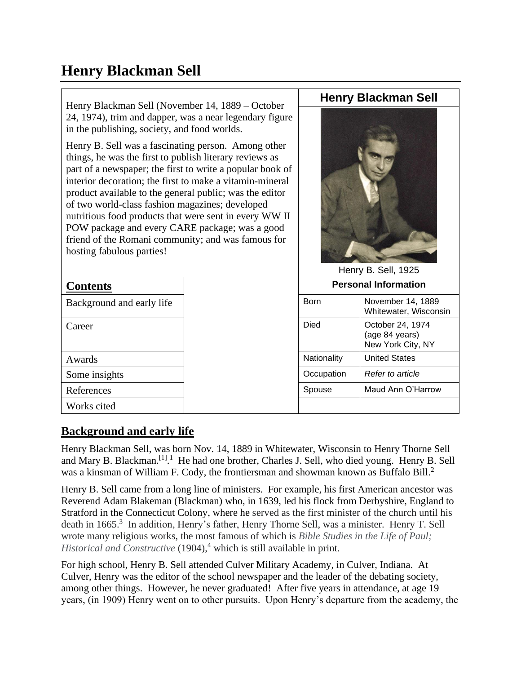# **Henry Blackman Sell**

| Henry Blackman Sell (November 14, 1889 – October                                                                                                                                                                                                                                                                                                                                                                                                                                                                                                     | <b>Henry Blackman Sell</b>  |                                                         |
|------------------------------------------------------------------------------------------------------------------------------------------------------------------------------------------------------------------------------------------------------------------------------------------------------------------------------------------------------------------------------------------------------------------------------------------------------------------------------------------------------------------------------------------------------|-----------------------------|---------------------------------------------------------|
| 24, 1974), trim and dapper, was a near legendary figure<br>in the publishing, society, and food worlds.                                                                                                                                                                                                                                                                                                                                                                                                                                              | Henry B. Sell, 1925         |                                                         |
| Henry B. Sell was a fascinating person. Among other<br>things, he was the first to publish literary reviews as<br>part of a newspaper; the first to write a popular book of<br>interior decoration; the first to make a vitamin-mineral<br>product available to the general public; was the editor<br>of two world-class fashion magazines; developed<br>nutritious food products that were sent in every WW II<br>POW package and every CARE package; was a good<br>friend of the Romani community; and was famous for<br>hosting fabulous parties! |                             |                                                         |
| <b>Contents</b>                                                                                                                                                                                                                                                                                                                                                                                                                                                                                                                                      | <b>Personal Information</b> |                                                         |
| Background and early life                                                                                                                                                                                                                                                                                                                                                                                                                                                                                                                            | <b>Born</b>                 | November 14, 1889<br>Whitewater, Wisconsin              |
| Career                                                                                                                                                                                                                                                                                                                                                                                                                                                                                                                                               | <b>Died</b>                 | October 24, 1974<br>(age 84 years)<br>New York City, NY |
| <b>Awards</b>                                                                                                                                                                                                                                                                                                                                                                                                                                                                                                                                        | Nationality                 | <b>United States</b>                                    |
| Some insights                                                                                                                                                                                                                                                                                                                                                                                                                                                                                                                                        | Occupation                  | Refer to article                                        |
| References                                                                                                                                                                                                                                                                                                                                                                                                                                                                                                                                           | Spouse                      | Maud Ann O'Harrow                                       |
| Works cited                                                                                                                                                                                                                                                                                                                                                                                                                                                                                                                                          |                             |                                                         |

## **Background and early life**

Henry Blackman Sell, was born Nov. 14, 1889 in Whitewater, Wisconsin to Henry Thorne Sell and Mary B. Blackman.<sup>[1] 1</sup> He had one brother, Charles J. Sell, who died young. Henry B. Sell was a kinsman of William F. Cody, the frontiersman and showman known as Buffalo Bill.<sup>2</sup>

Henry B. Sell came from a long line of ministers. For example, his first American ancestor was Reverend Adam Blakeman (Blackman) who, in 1639, led his flock from Derbyshire, England to Stratford in the Connecticut Colony, where he served as the first minister of the church until his death in 1665.<sup>3</sup> In addition, Henry's father, Henry Thorne Sell, was a minister. Henry T. Sell wrote many religious works, the most famous of which is *Bible Studies in the Life of Paul; Historical and Constructive* (1904),<sup>4</sup> which is still available in print.

For high school, Henry B. Sell attended Culver Military Academy, in Culver, Indiana. At Culver, Henry was the editor of the school newspaper and the leader of the debating society, among other things. However, he never graduated! After five years in attendance, at age 19 years, (in 1909) Henry went on to other pursuits. Upon Henry's departure from the academy, the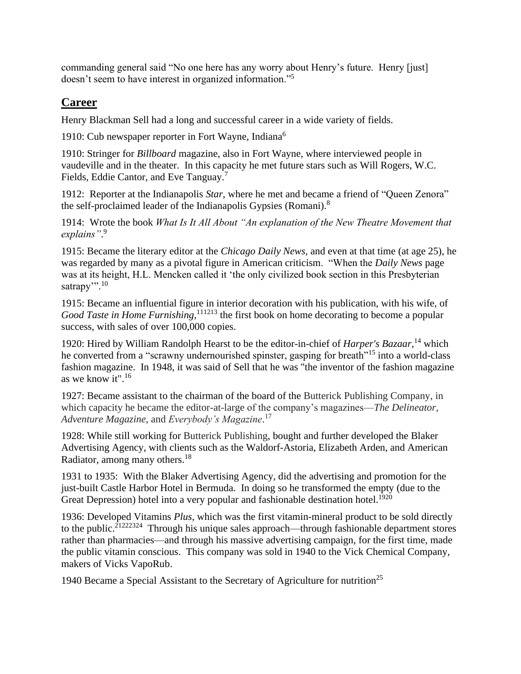commanding general said "No one here has any worry about Henry's future. Henry [just] doesn't seem to have interest in organized information."<sup>5</sup>

# **Career**

Henry Blackman Sell had a long and successful career in a wide variety of fields.

1910: Cub newspaper reporter in Fort Wayne, Indiana<sup>6</sup>

1910: Stringer for *Billboard* magazine, also in Fort Wayne, where interviewed people in vaudeville and in the theater. In this capacity he met future stars such as Will Rogers, W.C. Fields, Eddie Cantor, and Eve Tanguay.<sup>7</sup>

1912: Reporter at the Indianapolis *Star*, where he met and became a friend of "Queen Zenora" the self-proclaimed leader of the Indianapolis Gypsies (Romani).<sup>8</sup>

1914: Wrote the book *What Is It All About "An explanation of the New Theatre Movement that explains"*. 9

1915: Became the literary editor at the *Chicago Daily News,* and even at that time (at age 25), he was regarded by many as a pivotal figure in American criticism. "When the *Daily News* page was at its height, H.L. Mencken called it 'the only civilized book section in this Presbyterian satrapy".<sup>10</sup>

1915: Became an influential figure in interior decoration with his publication, with his wife, of Good Taste in Home Furnishing, <sup>111213</sup> the first book on home decorating to become a popular success, with sales of over 100,000 copies.

1920: Hired by William Randolph Hearst to be the editor-in-chief of *Harper's Bazaar*, <sup>14</sup> which he converted from a "scrawny undernourished spinster, gasping for breath"<sup>15</sup> into a world-class fashion magazine. In 1948, it was said of Sell that he was "the inventor of the fashion magazine as we know it".<sup>16</sup>

1927: Became assistant to the chairman of the board of the Butterick Publishing Company, in which capacity he became the editor-at-large of the company's magazines—*The Delineator*, *Adventure Magazine*, and *Everybody's Magazine*. 17

1928: While still working for Butterick Publishing, bought and further developed the Blaker Advertising Agency, with clients such as the Waldorf-Astoria, Elizabeth Arden, and American Radiator, among many others.<sup>18</sup>

1931 to 1935: With the Blaker Advertising Agency, did the advertising and promotion for the just-built Castle Harbor Hotel in Bermuda. In doing so he transformed the empty (due to the Great Depression) hotel into a very popular and fashionable destination hotel.<sup>1920</sup>

1936: Developed Vitamins *Plus*, which was the first vitamin-mineral product to be sold directly to the public.<sup>21222324</sup> Through his unique sales approach—through fashionable department stores rather than pharmacies—and through his massive advertising campaign, for the first time, made the public vitamin conscious. This company was sold in 1940 to the Vick Chemical Company, makers of Vicks VapoRub.

1940 Became a Special Assistant to the Secretary of Agriculture for nutrition<sup>25</sup>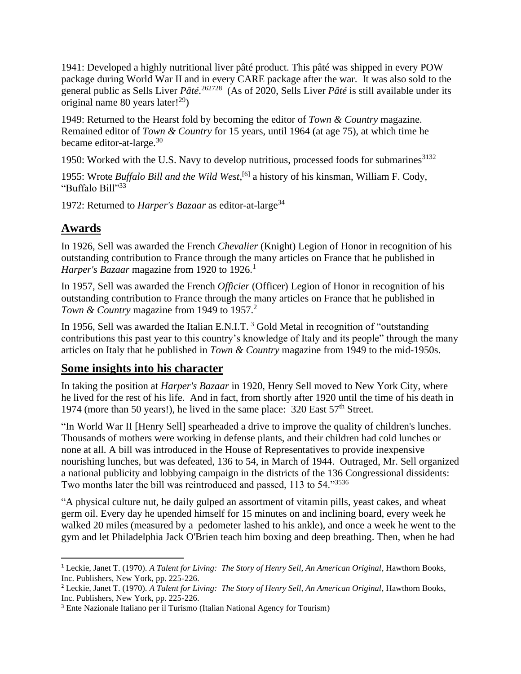1941: Developed a highly nutritional liver pâté product. This pâté was shipped in every POW package during World War II and in every CARE package after the war. It was also sold to the general public as Sells Liver *Pâté*. <sup>262728</sup> (As of 2020, Sells Liver *Pâté* is still available under its original name 80 years later!<sup>29</sup>)

1949: Returned to the Hearst fold by becoming the editor of *Town & Country* magazine. Remained editor of *Town & Country* for 15 years, until 1964 (at age 75), at which time he became editor-at-large.<sup>30</sup>

1950: Worked with the U.S. Navy to develop nutritious, processed foods for submarines  $3132$ 

1955: Wrote *Buffalo Bill and the Wild West*, [6] a history of his kinsman, William F. Cody, "Buffalo Bill"<sup>33</sup>

1972: Returned to *Harper's Bazaar* as editor-at-large<sup>34</sup>

# **Awards**

In 1926, Sell was awarded the French *Chevalier* (Knight) [Legion of Honor](https://en.wikipedia.org/wiki/Legion_of_Honour) in recognition of his outstanding contribution to France through the many articles on France that he published in *Harper's Bazaar* magazine from 1920 to 1926.<sup>1</sup>

In 1957, Sell was awarded the French *Officier* (Officer) [Legion of Honor](https://en.wikipedia.org/wiki/Legion_of_Honour) in recognition of his outstanding contribution to France through the many articles on France that he published in *Town & Country* magazine from 1949 to 1957. 2

In 1956, Sell was awarded the Italian E.N.I.T.<sup>3</sup> Gold Metal in recognition of "outstanding contributions this past year to this country's knowledge of Italy and its people" through the many articles on Italy that he published in *Town & Country* magazine from 1949 to the mid-1950s.

## **Some insights into his character**

In taking the position at *Harper's Bazaar* in 1920, Henry Sell moved to New York City, where he lived for the rest of his life. And in fact, from shortly after 1920 until the time of his death in 1974 (more than 50 years!), he lived in the same place: 320 East 57<sup>th</sup> Street.

"In World War II [Henry Sell] spearheaded a drive to improve the quality of children's lunches. Thousands of mothers were working in defense plants, and their children had cold lunches or none at all. A bill was introduced in the House of Representatives to provide inexpensive nourishing lunches, but was defeated, 136 to 54, in March of 1944. Outraged, Mr. Sell organized a national publicity and lobbying campaign in the districts of the 136 Congressional dissidents: Two months later the bill was reintroduced and passed, 113 to 54."<sup>3536</sup>

"A physical culture nut, he daily gulped an assortment of vitamin pills, yeast cakes, and wheat germ oil. Every day he upended himself for 15 minutes on and inclining board, every week he walked 20 miles (measured by a pedometer lashed to his ankle), and once a week he went to the gym and let Philadelphia Jack O'Brien teach him boxing and deep breathing. Then, when he had

<sup>1</sup> Leckie, Janet T. (1970). *A Talent for Living: The Story of Henry Sell, An American Original*, Hawthorn Books, Inc. Publishers, New York, pp. 225-226.

<sup>2</sup> Leckie, Janet T. (1970). *A Talent for Living: The Story of Henry Sell, An American Original*, Hawthorn Books, Inc. Publishers, New York, pp. 225-226.

<sup>3</sup> Ente Nazionale Italiano per il Turismo (Italian National Agency for Tourism)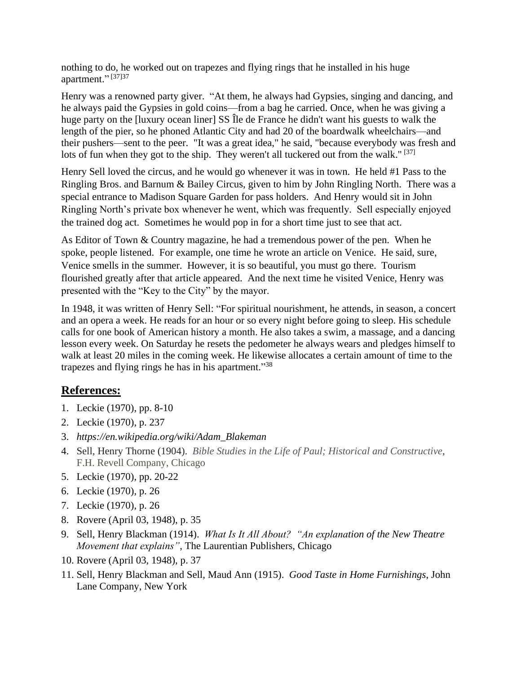nothing to do, he worked out on trapezes and flying rings that he installed in his huge apartment."<sup>[37]37</sup>

Henry was a renowned party giver. "At them, he always had Gypsies, singing and dancing, and he always paid the Gypsies in gold coins—from a bag he carried. Once, when he was giving a huge party on the [luxury ocean liner] SS Île de France he didn't want his guests to walk the length of the pier, so he phoned Atlantic City and had 20 of the boardwalk wheelchairs—and their pushers—sent to the peer. "It was a great idea," he said, "because everybody was fresh and lots of fun when they got to the ship. They weren't all tuckered out from the walk."<sup>[37]</sup>

Henry Sell loved the circus, and he would go whenever it was in town. He held #1 Pass to the Ringling Bros. and Barnum & Bailey Circus, given to him by John Ringling North. There was a special entrance to Madison Square Garden for pass holders. And Henry would sit in John Ringling North's private box whenever he went, which was frequently. Sell especially enjoyed the trained dog act. Sometimes he would pop in for a short time just to see that act.

As Editor of Town & Country magazine, he had a tremendous power of the pen. When he spoke, people listened. For example, one time he wrote an article on Venice. He said, sure, Venice smells in the summer. However, it is so beautiful, you must go there. Tourism flourished greatly after that article appeared. And the next time he visited Venice, Henry was presented with the "Key to the City" by the mayor.

In 1948, it was written of Henry Sell: "For spiritual nourishment, he attends, in season, a concert and an opera a week. He reads for an hour or so every night before going to sleep. His schedule calls for one book of American history a month. He also takes a swim, a massage, and a dancing lesson every week. On Saturday he resets the pedometer he always wears and pledges himself to walk at least 20 miles in the coming week. He likewise allocates a certain amount of time to the trapezes and flying rings he has in his apartment."<sup>38</sup>

## **References:**

- 1. Leckie (1970), pp. 8-10
- 2. Leckie (1970), p. 237
- 3. *https://en.wikipedia.org/wiki/Adam\_Blakeman*
- 4. Sell, Henry Thorne (1904). *Bible Studies in the Life of Paul; Historical and Constructive*, F.H. Revell Company, Chicago
- 5. Leckie (1970), pp. 20-22
- 6. Leckie (1970), p. 26
- 7. Leckie (1970), p. 26
- 8. Rovere (April 03, 1948), p. 35
- 9. Sell, Henry Blackman (1914). *What Is It All About? "An explanation of the New Theatre Movement that explains"*, The Laurentian Publishers, Chicago
- 10. Rovere (April 03, 1948), p. 37
- 11. Sell, Henry Blackman and Sell, Maud Ann (1915). *Good Taste in Home Furnishings*, John Lane Company, New York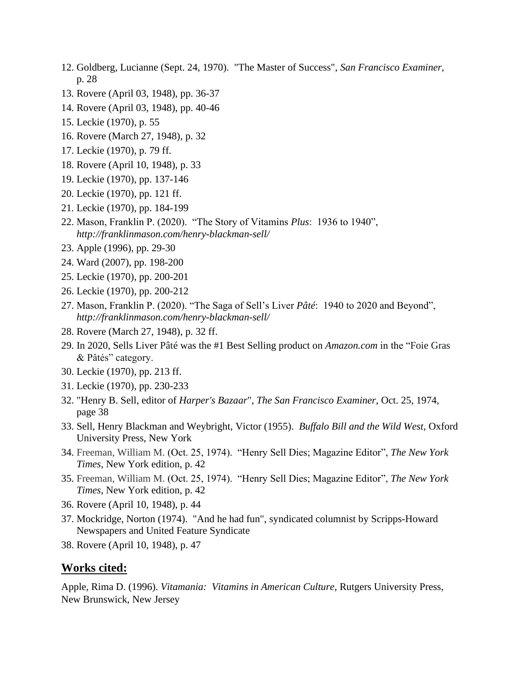- 12. Goldberg, Lucianne (Sept. 24, 1970). "The Master of Success", *San Francisco Examiner,*  p. 28
- 13. Rovere (April 03, 1948), pp. 36-37
- 14. Rovere (April 03, 1948), pp. 40-46
- 15. Leckie (1970), p. 55
- 16. Rovere (March 27, 1948), p. 32
- 17. Leckie (1970), p. 79 ff.
- 18. Rovere (April 10, 1948), p. 33
- 19. Leckie (1970), pp. 137-146
- 20. Leckie (1970), pp. 121 ff.
- 21. Leckie (1970), pp. 184-199
- 22. Mason, Franklin P. (2020). "The Story of Vitamins *Plus*: 1936 to 1940", *http://franklinmason.com/henry-blackman-sell/*
- 23. Apple (1996), pp. 29-30
- 24. Ward (2007), pp. 198-200
- 25. Leckie (1970), pp. 200-201
- 26. Leckie (1970), pp. 200-212
- 27. Mason, Franklin P. (2020). "The Saga of Sell's Liver *Pâté*: 1940 to 2020 and Beyond", *http://franklinmason.com/henry-blackman-sell/*
- 28. Rovere (March 27, 1948), p. 32 ff.
- 29. In 2020, Sells Liver Pâté was the #1 Best Selling product on *Amazon.com* in the "Foie Gras & Pâtés" category.
- 30. Leckie (1970), pp. 213 ff.
- 31. Leckie (1970), pp. 230-233
- 32. "Henry B. Sell, editor of *Harper's Bazaar*", *The San Francisco Examiner*, Oct. 25, 1974, page 38
- 33. Sell, Henry Blackman and Weybright, Victor (1955). *Buffalo Bill and the Wild West*, Oxford University Press, New York
- 34. Freeman, William M. (Oct. 25, 1974). "Henry Sell Dies; Magazine Editor", *The New York Times*, New York edition, p. 42
- 35. Freeman, William M. (Oct. 25, 1974). "Henry Sell Dies; Magazine Editor", *The New York Times*, New York edition, p. 42
- 36. Rovere (April 10, 1948), p. 44
- 37. Mockridge, Norton (1974). "And he had fun", syndicated columnist by [Scripps-Howard](https://en.wikipedia.org/wiki/Scripps-Howard_Newspapers)  [Newspapers](https://en.wikipedia.org/wiki/Scripps-Howard_Newspapers) and [United Feature Syndicate](https://en.wikipedia.org/wiki/United_Feature_Syndicate)
- 38. Rovere (April 10, 1948), p. 47

#### **Works cited:**

Apple, Rima D. (1996). *Vitamania: Vitamins in American Culture*, Rutgers University Press, New Brunswick, New Jersey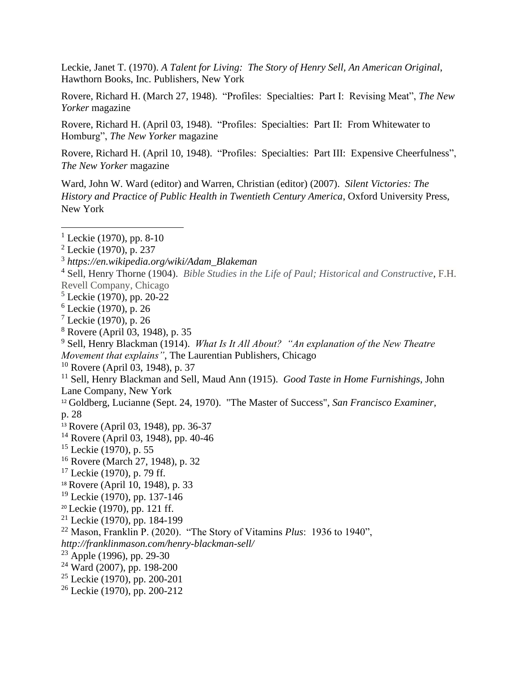Leckie, Janet T. (1970). *A Talent for Living: The Story of Henry Sell, An American Original*, Hawthorn Books, Inc. Publishers, New York

Rovere, Richard H. (March 27, 1948). "Profiles: Specialties: Part I: Revising Meat", *The New Yorker* magazine

Rovere, Richard H. (April 03, 1948). "Profiles: Specialties: Part II: From Whitewater to Homburg", *The New Yorker* magazine

Rovere, Richard H. (April 10, 1948). "Profiles: Specialties: Part III: Expensive Cheerfulness", *The New Yorker* magazine

Ward, John W. Ward (editor) and Warren, Christian (editor) (2007). *Silent Victories: The History and Practice of Public Health in Twentieth Century America*, Oxford University Press, New York

- <sup>4</sup> Sell, Henry Thorne (1904). *Bible Studies in the Life of Paul; Historical and Constructive*, F.H. Revell Company, Chicago
- $5$  Leckie (1970), pp. 20-22
- <sup>6</sup> Leckie (1970), p. 26
- $<sup>7</sup>$  Leckie (1970), p. 26</sup>
- <sup>8</sup> Rovere (April 03, 1948), p. 35
- <sup>9</sup> Sell, Henry Blackman (1914). *What Is It All About? "An explanation of the New Theatre Movement that explains"*, The Laurentian Publishers, Chicago
- <sup>10</sup> Rovere (April 03, 1948), p. 37
- <sup>11</sup> Sell, Henry Blackman and Sell, Maud Ann (1915). *Good Taste in Home Furnishings*, John Lane Company, New York
- <sup>12</sup> Goldberg, Lucianne (Sept. 24, 1970). "The Master of Success", *San Francisco Examiner,*  p. 28
- <sup>13</sup> Rovere (April 03, 1948), pp. 36-37
- <sup>14</sup> Rovere (April 03, 1948), pp. 40-46
- $15$  Leckie (1970), p. 55
- <sup>16</sup> Rovere (March 27, 1948), p. 32
- $17$  Leckie (1970), p. 79 ff.
- <sup>18</sup> Rovere (April 10, 1948), p. 33
- <sup>19</sup> Leckie (1970), pp. 137-146
- <sup>20</sup> Leckie (1970), pp. 121 ff.
- $21$  Leckie (1970), pp. 184-199
- <sup>22</sup> Mason, Franklin P. (2020). "The Story of Vitamins *Plus*: 1936 to 1940", *http://franklinmason.com/henry-blackman-sell/*
- $23$  Apple (1996), pp. 29-30
- <sup>24</sup> Ward (2007), pp. 198-200
- <sup>25</sup> Leckie (1970), pp. 200-201
- <sup>26</sup> Leckie (1970), pp. 200-212

<sup>&</sup>lt;sup>1</sup> Leckie (1970), pp. 8-10

 $2$  Leckie (1970), p. 237

<sup>3</sup> *https://en.wikipedia.org/wiki/Adam\_Blakeman*